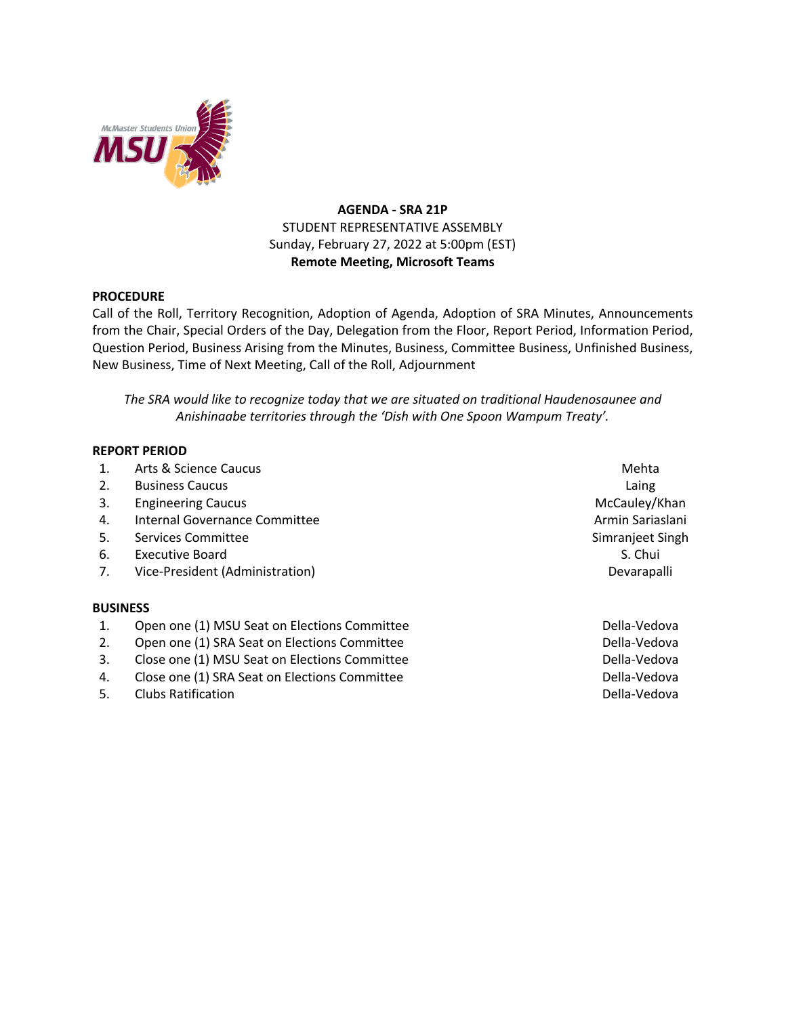

# **AGENDA - SRA 21P** STUDENT REPRESENTATIVE ASSEMBLY Sunday, February 27, 2022 at 5:00pm (EST) **Remote Meeting, Microsoft Teams**

## **PROCEDURE**

Call of the Roll, Territory Recognition, Adoption of Agenda, Adoption of SRA Minutes, Announcements from the Chair, Special Orders of the Day, Delegation from the Floor, Report Period, Information Period, Question Period, Business Arising from the Minutes, Business, Committee Business, Unfinished Business, New Business, Time of Next Meeting, Call of the Roll, Adjournment

*The SRA would like to recognize today that we are situated on traditional Haudenosaunee and Anishinaabe territories through the 'Dish with One Spoon Wampum Treaty'.*

### **REPORT PERIOD**

- 1. Arts & Science Caucus Mehta
- 2. Business Caucus Laing
- 3. Engineering Caucus and the control of the control of the control of the control of the control of the control of the control of the control of the control of the control of the control of the control of the control of t
- 4. Internal Governance Committee **Armin Sariaslani** Armin Sariaslani
- 5. Services Committee Simple Simple Simple Simple Simple Simple Simple Simple Simple Simple Simple Simple Simple Simple Simple Simple Simple Simple Simple Simple Simple Simple Simple Simple Simple Simple Simple Simple Simp
- 6. Executive Board S. Chui and S. Chui and S. Chui and S. Chui and S. Chui and S. Chui and S. Chui and S. Chui
- 7. Vice-President (Administration) Devarapalli

#### **BUSINESS**

- 1. Open one (1) MSU Seat on Elections Committee **Della-Vedova** Della-Vedova
- 2. Open one (1) SRA Seat on Elections Committee **Della-Vedova** Della-Vedova
- 3. Close one (1) MSU Seat on Elections Committee **Della-Vedova** Della-Vedova
- 4. Close one (1) SRA Seat on Elections Committee **Communities** Della-Vedova
- 5. Clubs Ratification **Della-Vedova Clubs Ratification**